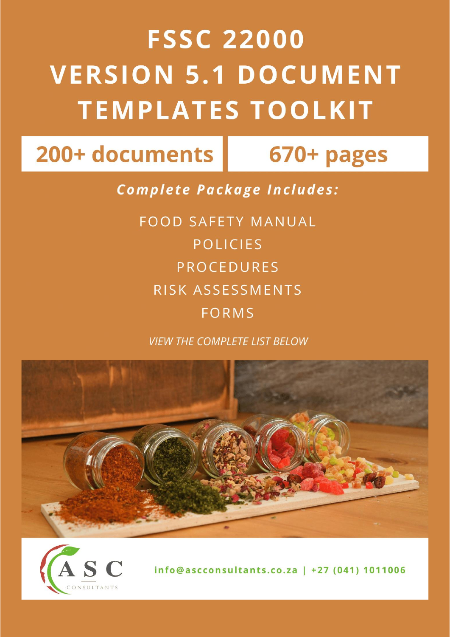# **FSSC 22000 VERSION 5.1 DOCUMENT TEMPLATES TOOLKIT**

# 200+ documents

# 670+ pages

**Complete Package Includes:** 

**FOOD SAFETY MANUAL POLICIES PROCEDURES** RISK ASSESSMENTS **FORMS** 

**VIEW THE COMPLETE LIST BELOW** 





info@ascconsultants.co.za | +27 (041) 1011006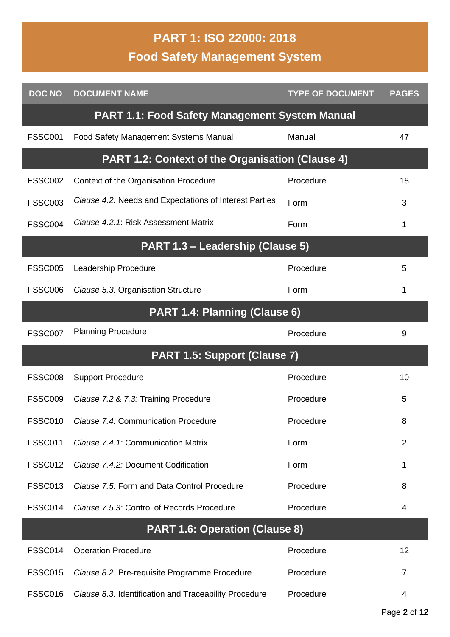# **PART 1: ISO 22000: 2018 Food Safety Management System**

| <b>DOC NO</b>  | <b>DOCUMENT NAME</b>                                    | <b>TYPE OF DOCUMENT</b> | <b>PAGES</b>   |
|----------------|---------------------------------------------------------|-------------------------|----------------|
|                | <b>PART 1.1: Food Safety Management System Manual</b>   |                         |                |
| <b>FSSC001</b> | Food Safety Management Systems Manual                   | Manual                  | 47             |
|                | <b>PART 1.2: Context of the Organisation (Clause 4)</b> |                         |                |
| <b>FSSC002</b> | Context of the Organisation Procedure                   | Procedure               | 18             |
| <b>FSSC003</b> | Clause 4.2: Needs and Expectations of Interest Parties  | Form                    | 3              |
| <b>FSSC004</b> | Clause 4.2.1: Risk Assessment Matrix                    | Form                    | 1              |
|                | PART 1.3 - Leadership (Clause 5)                        |                         |                |
| <b>FSSC005</b> | Leadership Procedure                                    | Procedure               | 5              |
| <b>FSSC006</b> | Clause 5.3: Organisation Structure                      | Form                    | 1              |
|                | PART 1.4: Planning (Clause 6)                           |                         |                |
| <b>FSSC007</b> | <b>Planning Procedure</b>                               | Procedure               | 9              |
|                | PART 1.5: Support (Clause 7)                            |                         |                |
| <b>FSSC008</b> | <b>Support Procedure</b>                                | Procedure               | 10             |
| <b>FSSC009</b> | Clause 7.2 & 7.3: Training Procedure                    | Procedure               | 5              |
| <b>FSSC010</b> | Clause 7.4: Communication Procedure                     | Procedure               | 8              |
| <b>FSSC011</b> | Clause 7.4.1: Communication Matrix                      | Form                    | $\overline{2}$ |
| <b>FSSC012</b> | Clause 7.4.2: Document Codification                     | Form                    | 1              |
| FSSC013        | Clause 7.5: Form and Data Control Procedure             | Procedure               | 8              |
| FSSC014        | Clause 7.5.3: Control of Records Procedure              | Procedure               | 4              |
|                | <b>PART 1.6: Operation (Clause 8)</b>                   |                         |                |
| <b>FSSC014</b> | <b>Operation Procedure</b>                              | Procedure               | 12             |
| <b>FSSC015</b> | Clause 8.2: Pre-requisite Programme Procedure           | Procedure               | $\overline{7}$ |
| <b>FSSC016</b> | Clause 8.3: Identification and Traceability Procedure   | Procedure               | 4              |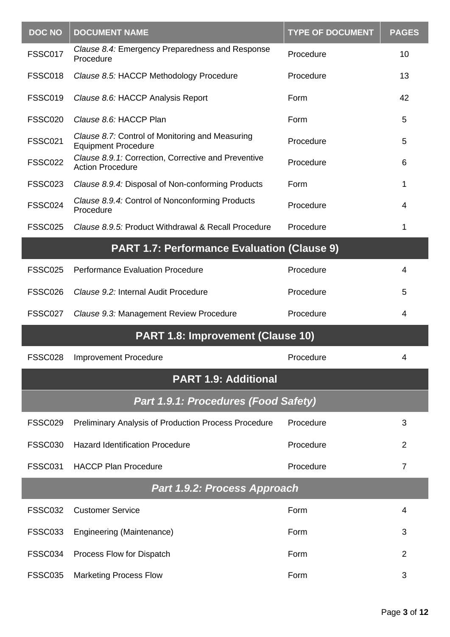| <b>DOC NO</b>  | <b>DOCUMENT NAME</b>                                                           | <b>TYPE OF DOCUMENT</b> | <b>PAGES</b>   |
|----------------|--------------------------------------------------------------------------------|-------------------------|----------------|
| <b>FSSC017</b> | Clause 8.4: Emergency Preparedness and Response<br>Procedure                   | Procedure               | 10             |
| FSSC018        | Clause 8.5: HACCP Methodology Procedure                                        | Procedure               | 13             |
| <b>FSSC019</b> | Clause 8.6: HACCP Analysis Report                                              | Form                    | 42             |
| <b>FSSC020</b> | Clause 8.6: HACCP Plan                                                         | Form                    | 5              |
| <b>FSSC021</b> | Clause 8.7: Control of Monitoring and Measuring<br><b>Equipment Procedure</b>  | Procedure               | 5              |
| <b>FSSC022</b> | Clause 8.9.1: Correction, Corrective and Preventive<br><b>Action Procedure</b> | Procedure               | 6              |
| <b>FSSC023</b> | Clause 8.9.4: Disposal of Non-conforming Products                              | Form                    | 1              |
| <b>FSSC024</b> | Clause 8.9.4: Control of Nonconforming Products<br>Procedure                   | Procedure               | 4              |
| <b>FSSC025</b> | Clause 8.9.5: Product Withdrawal & Recall Procedure                            | Procedure               | 1              |
|                | <b>PART 1.7: Performance Evaluation (Clause 9)</b>                             |                         |                |
| <b>FSSC025</b> | <b>Performance Evaluation Procedure</b>                                        | Procedure               | $\overline{4}$ |
| FSSC026        | Clause 9.2: Internal Audit Procedure                                           | Procedure               | 5              |
| FSSC027        | Clause 9.3: Management Review Procedure                                        | Procedure               | 4              |
|                | <b>PART 1.8: Improvement (Clause 10)</b>                                       |                         |                |
| <b>FSSC028</b> | <b>Improvement Procedure</b>                                                   | Procedure               | 4              |
|                | <b>PART 1.9: Additional</b>                                                    |                         |                |
|                | <b>Part 1.9.1: Procedures (Food Safety)</b>                                    |                         |                |
| <b>FSSC029</b> | Preliminary Analysis of Production Process Procedure                           | Procedure               | 3              |
| <b>FSSC030</b> | <b>Hazard Identification Procedure</b>                                         | Procedure               | 2              |
| <b>FSSC031</b> | <b>HACCP Plan Procedure</b>                                                    | Procedure               | $\overline{7}$ |
|                | Part 1.9.2: Process Approach                                                   |                         |                |
| <b>FSSC032</b> | <b>Customer Service</b>                                                        | Form                    | 4              |
| <b>FSSC033</b> | Engineering (Maintenance)                                                      | Form                    | 3              |
| FSSC034        | Process Flow for Dispatch                                                      | Form                    | $\overline{2}$ |
| <b>FSSC035</b> | <b>Marketing Process Flow</b>                                                  | Form                    | 3              |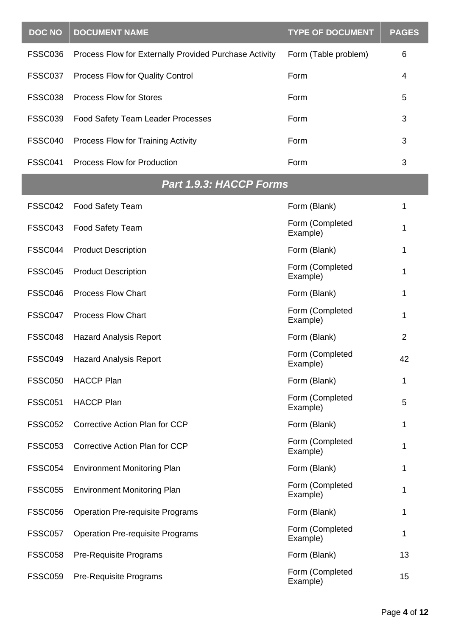| <b>DOC NO</b>  | <b>DOCUMENT NAME</b>                                   | <b>TYPE OF DOCUMENT</b>     | <b>PAGES</b>   |
|----------------|--------------------------------------------------------|-----------------------------|----------------|
| <b>FSSC036</b> | Process Flow for Externally Provided Purchase Activity | Form (Table problem)        | 6              |
| <b>FSSC037</b> | Process Flow for Quality Control                       | Form                        | 4              |
| <b>FSSC038</b> | <b>Process Flow for Stores</b>                         | Form                        | 5              |
| <b>FSSC039</b> | Food Safety Team Leader Processes                      | Form                        | 3              |
| FSSC040        | Process Flow for Training Activity                     | Form                        | 3              |
| <b>FSSC041</b> | Process Flow for Production                            | Form                        | 3              |
|                | <b>Part 1.9.3: HACCP Forms</b>                         |                             |                |
| FSSC042        | <b>Food Safety Team</b>                                | Form (Blank)                | 1              |
| FSSC043        | Food Safety Team                                       | Form (Completed<br>Example) | 1              |
| FSSC044        | <b>Product Description</b>                             | Form (Blank)                | 1              |
| <b>FSSC045</b> | <b>Product Description</b>                             | Form (Completed<br>Example) | 1              |
| FSSC046        | <b>Process Flow Chart</b>                              | Form (Blank)                | 1              |
| FSSC047        | <b>Process Flow Chart</b>                              | Form (Completed<br>Example) | 1              |
| FSSC048        | <b>Hazard Analysis Report</b>                          | Form (Blank)                | $\overline{2}$ |
| FSSC049        | <b>Hazard Analysis Report</b>                          | Form (Completed<br>Example) | 42             |
| <b>FSSC050</b> | <b>HACCP Plan</b>                                      | Form (Blank)                | 1              |
| <b>FSSC051</b> | <b>HACCP Plan</b>                                      | Form (Completed<br>Example) | 5              |
| <b>FSSC052</b> | Corrective Action Plan for CCP                         | Form (Blank)                | 1              |
| <b>FSSC053</b> | <b>Corrective Action Plan for CCP</b>                  | Form (Completed<br>Example) | 1              |
| <b>FSSC054</b> | <b>Environment Monitoring Plan</b>                     | Form (Blank)                | 1              |
| <b>FSSC055</b> | <b>Environment Monitoring Plan</b>                     | Form (Completed<br>Example) | 1              |
| <b>FSSC056</b> | <b>Operation Pre-requisite Programs</b>                | Form (Blank)                | 1              |
| <b>FSSC057</b> | <b>Operation Pre-requisite Programs</b>                | Form (Completed<br>Example) | 1              |
| <b>FSSC058</b> | <b>Pre-Requisite Programs</b>                          | Form (Blank)                | 13             |
| <b>FSSC059</b> | <b>Pre-Requisite Programs</b>                          | Form (Completed<br>Example) | 15             |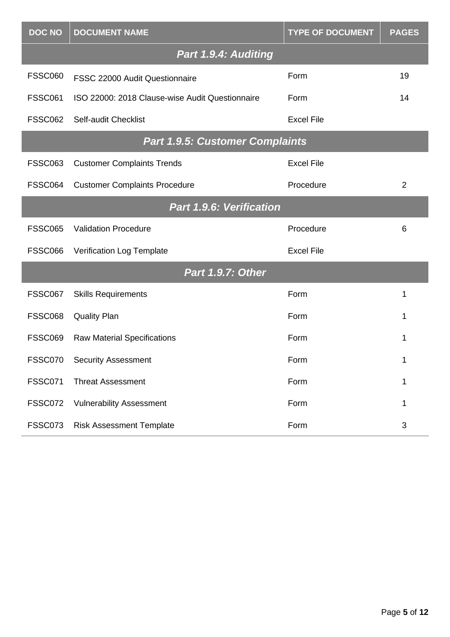| <b>DOC NO</b>                   | <b>DOCUMENT NAME</b>                            | <b>TYPE OF DOCUMENT</b> | <b>PAGES</b> |
|---------------------------------|-------------------------------------------------|-------------------------|--------------|
|                                 | Part 1.9.4: Auditing                            |                         |              |
| <b>FSSC060</b>                  | FSSC 22000 Audit Questionnaire                  | Form                    | 19           |
| <b>FSSC061</b>                  | ISO 22000: 2018 Clause-wise Audit Questionnaire | Form                    | 14           |
| <b>FSSC062</b>                  | Self-audit Checklist                            | <b>Excel File</b>       |              |
|                                 | <b>Part 1.9.5: Customer Complaints</b>          |                         |              |
| <b>FSSC063</b>                  | <b>Customer Complaints Trends</b>               | <b>Excel File</b>       |              |
| FSSC064                         | <b>Customer Complaints Procedure</b>            | Procedure               | 2            |
| <b>Part 1.9.6: Verification</b> |                                                 |                         |              |
| <b>FSSC065</b>                  | <b>Validation Procedure</b>                     | Procedure               | 6            |
| <b>FSSC066</b>                  | Verification Log Template                       | <b>Excel File</b>       |              |
|                                 | <b>Part 1.9.7: Other</b>                        |                         |              |
| FSSC067                         | <b>Skills Requirements</b>                      | Form                    | 1            |
| <b>FSSC068</b>                  | <b>Quality Plan</b>                             | Form                    | 1            |
| <b>FSSC069</b>                  | <b>Raw Material Specifications</b>              | Form                    | 1            |
| FSSC070                         | <b>Security Assessment</b>                      | Form                    | 1            |
| <b>FSSC071</b>                  | <b>Threat Assessment</b>                        | Form                    | 1            |
| <b>FSSC072</b>                  | <b>Vulnerability Assessment</b>                 | Form                    | 1            |
| <b>FSSC073</b>                  | <b>Risk Assessment Template</b>                 | Form                    | 3            |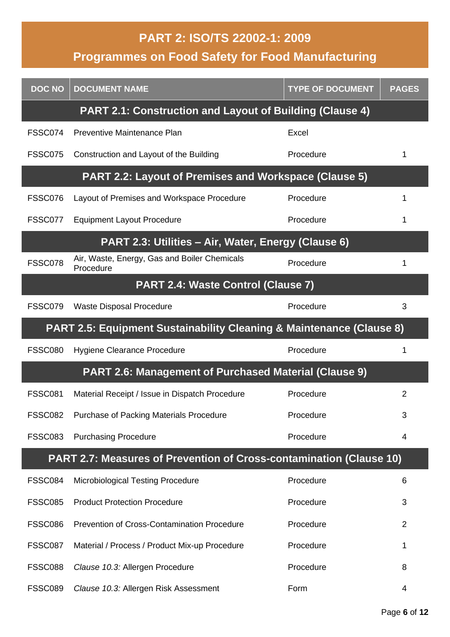#### **PART 2: ISO/TS 22002-1: 2009**

**Programmes on Food Safety for Food Manufacturing**

| <b>DOC NO</b>  | <b>DOCUMENT NAME</b>                                                            | <b>TYPE OF DOCUMENT</b> | <b>PAGES</b>   |
|----------------|---------------------------------------------------------------------------------|-------------------------|----------------|
|                | <b>PART 2.1: Construction and Layout of Building (Clause 4)</b>                 |                         |                |
| FSSC074        | Preventive Maintenance Plan                                                     | Excel                   |                |
| <b>FSSC075</b> | Construction and Layout of the Building                                         | Procedure               | 1              |
|                | <b>PART 2.2: Layout of Premises and Workspace (Clause 5)</b>                    |                         |                |
| FSSC076        | Layout of Premises and Workspace Procedure                                      | Procedure               |                |
| FSSC077        | <b>Equipment Layout Procedure</b>                                               | Procedure               |                |
|                | PART 2.3: Utilities - Air, Water, Energy (Clause 6)                             |                         |                |
| FSSC078        | Air, Waste, Energy, Gas and Boiler Chemicals<br>Procedure                       | Procedure               |                |
|                | PART 2.4: Waste Control (Clause 7)                                              |                         |                |
| FSSC079        | <b>Waste Disposal Procedure</b>                                                 | Procedure               | 3              |
|                | <b>PART 2.5: Equipment Sustainability Cleaning &amp; Maintenance (Clause 8)</b> |                         |                |
| <b>FSSC080</b> | Hygiene Clearance Procedure                                                     | Procedure               | 1              |
|                | <b>PART 2.6: Management of Purchased Material (Clause 9)</b>                    |                         |                |
| <b>FSSC081</b> | Material Receipt / Issue in Dispatch Procedure                                  | Procedure               | $\overline{2}$ |
| <b>FSSC082</b> | Purchase of Packing Materials Procedure                                         | Procedure               | 3              |
| <b>FSSC083</b> | <b>Purchasing Procedure</b>                                                     | Procedure               | 4              |
|                | <b>PART 2.7: Measures of Prevention of Cross-contamination (Clause 10)</b>      |                         |                |
| FSSC084        | <b>Microbiological Testing Procedure</b>                                        | Procedure               | 6              |
| <b>FSSC085</b> | <b>Product Protection Procedure</b>                                             | Procedure               | 3              |
| FSSC086        | <b>Prevention of Cross-Contamination Procedure</b>                              | Procedure               | $\overline{2}$ |
| FSSC087        | Material / Process / Product Mix-up Procedure                                   | Procedure               |                |
| <b>FSSC088</b> | Clause 10.3: Allergen Procedure                                                 | Procedure               | 8              |
| <b>FSSC089</b> | Clause 10.3: Allergen Risk Assessment                                           | Form                    | 4              |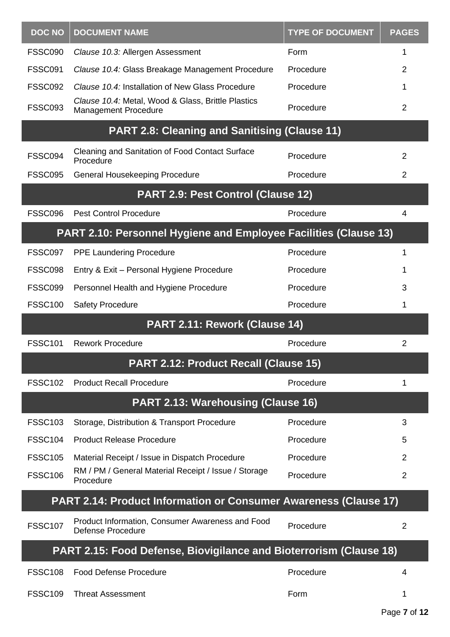| <b>DOC NO</b>  | <b>DOCUMENT NAME</b>                                                              | <b>TYPE OF DOCUMENT</b> | <b>PAGES</b>   |
|----------------|-----------------------------------------------------------------------------------|-------------------------|----------------|
| <b>FSSC090</b> | Clause 10.3: Allergen Assessment                                                  | Form                    | 1              |
| <b>FSSC091</b> | Clause 10.4: Glass Breakage Management Procedure                                  | Procedure               | $\overline{2}$ |
| <b>FSSC092</b> | Clause 10.4: Installation of New Glass Procedure                                  | Procedure               | 1              |
| <b>FSSC093</b> | Clause 10.4: Metal, Wood & Glass, Brittle Plastics<br><b>Management Procedure</b> | Procedure               | 2              |
|                | <b>PART 2.8: Cleaning and Sanitising (Clause 11)</b>                              |                         |                |
| FSSC094        | <b>Cleaning and Sanitation of Food Contact Surface</b><br>Procedure               | Procedure               | $\overline{2}$ |
| <b>FSSC095</b> | General Housekeeping Procedure                                                    | Procedure               | $\overline{2}$ |
|                | PART 2.9: Pest Control (Clause 12)                                                |                         |                |
| FSSC096        | <b>Pest Control Procedure</b>                                                     | Procedure               | 4              |
|                | <b>PART 2.10: Personnel Hygiene and Employee Facilities (Clause 13)</b>           |                         |                |
| FSSC097        | <b>PPE Laundering Procedure</b>                                                   | Procedure               | 1              |
| <b>FSSC098</b> | Entry & Exit - Personal Hygiene Procedure                                         | Procedure               | 1              |
| <b>FSSC099</b> | Personnel Health and Hygiene Procedure                                            | Procedure               | 3              |
| <b>FSSC100</b> | <b>Safety Procedure</b>                                                           | Procedure               | 1              |
|                | PART 2.11: Rework (Clause 14)                                                     |                         |                |
| <b>FSSC101</b> | <b>Rework Procedure</b>                                                           | Procedure               | $\overline{2}$ |
|                | PART 2.12: Product Recall (Clause 15)                                             |                         |                |
| <b>FSSC102</b> | <b>Product Recall Procedure</b>                                                   | Procedure               | 1              |
|                | <b>PART 2.13: Warehousing (Clause 16)</b>                                         |                         |                |
| <b>FSSC103</b> | Storage, Distribution & Transport Procedure                                       | Procedure               | 3              |
| <b>FSSC104</b> | <b>Product Release Procedure</b>                                                  | Procedure               | 5              |
| <b>FSSC105</b> | Material Receipt / Issue in Dispatch Procedure                                    | Procedure               | 2              |
| <b>FSSC106</b> | RM / PM / General Material Receipt / Issue / Storage<br>Procedure                 | Procedure               | $\overline{2}$ |
|                | PART 2.14: Product Information or Consumer Awareness (Clause 17)                  |                         |                |
| <b>FSSC107</b> | Product Information, Consumer Awareness and Food<br><b>Defense Procedure</b>      | Procedure               | $\overline{2}$ |
|                | <b>PART 2.15: Food Defense, Biovigilance and Bioterrorism (Clause 18)</b>         |                         |                |
| <b>FSSC108</b> | <b>Food Defense Procedure</b>                                                     | Procedure               | 4              |
| <b>FSSC109</b> | <b>Threat Assessment</b>                                                          | Form                    | 1              |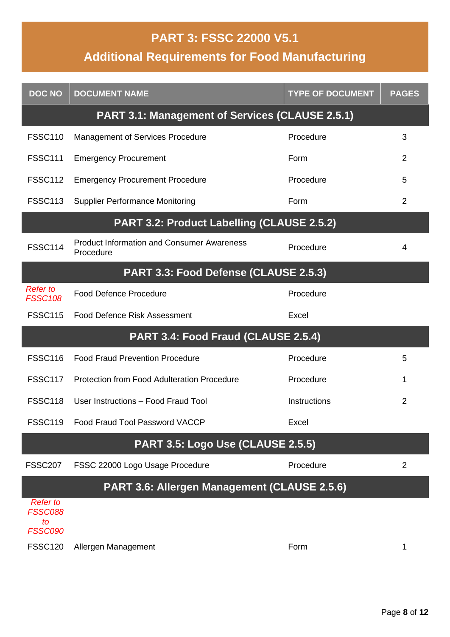#### **PART 3: FSSC 22000 V5.1**

## **Additional Requirements for Food Manufacturing**

| <b>DOC NO</b>                                             | <b>DOCUMENT NAME</b>                                           | <b>TYPE OF DOCUMENT</b> | <b>PAGES</b>   |
|-----------------------------------------------------------|----------------------------------------------------------------|-------------------------|----------------|
|                                                           | <b>PART 3.1: Management of Services (CLAUSE 2.5.1)</b>         |                         |                |
| <b>FSSC110</b>                                            | <b>Management of Services Procedure</b>                        | Procedure               | 3              |
| <b>FSSC111</b>                                            | <b>Emergency Procurement</b>                                   | Form                    | $\overline{2}$ |
| <b>FSSC112</b>                                            | <b>Emergency Procurement Procedure</b>                         | Procedure               | 5              |
| <b>FSSC113</b>                                            | <b>Supplier Performance Monitoring</b>                         | Form                    | 2              |
|                                                           | PART 3.2: Product Labelling (CLAUSE 2.5.2)                     |                         |                |
| <b>FSSC114</b>                                            | <b>Product Information and Consumer Awareness</b><br>Procedure | Procedure               | 4              |
|                                                           | PART 3.3: Food Defense (CLAUSE 2.5.3)                          |                         |                |
| <b>Refer to</b><br><b>FSSC108</b>                         | <b>Food Defence Procedure</b>                                  | Procedure               |                |
| <b>FSSC115</b>                                            | <b>Food Defence Risk Assessment</b>                            | Excel                   |                |
|                                                           | PART 3.4: Food Fraud (CLAUSE 2.5.4)                            |                         |                |
| <b>FSSC116</b>                                            | <b>Food Fraud Prevention Procedure</b>                         | Procedure               | 5              |
| <b>FSSC117</b>                                            | Protection from Food Adulteration Procedure                    | Procedure               | 1              |
| <b>FSSC118</b>                                            | User Instructions - Food Fraud Tool                            | Instructions            | $\overline{2}$ |
| <b>FSSC119</b>                                            | Food Fraud Tool Password VACCP                                 | Excel                   |                |
|                                                           | PART 3.5: Logo Use (CLAUSE 2.5.5)                              |                         |                |
| <b>FSSC207</b>                                            | FSSC 22000 Logo Usage Procedure                                | Procedure               | 2              |
|                                                           | PART 3.6: Allergen Management (CLAUSE 2.5.6)                   |                         |                |
| <b>Refer to</b><br><b>FSSC088</b><br>to<br><b>FSSC090</b> |                                                                |                         |                |
| <b>FSSC120</b>                                            | Allergen Management                                            | Form                    | 1              |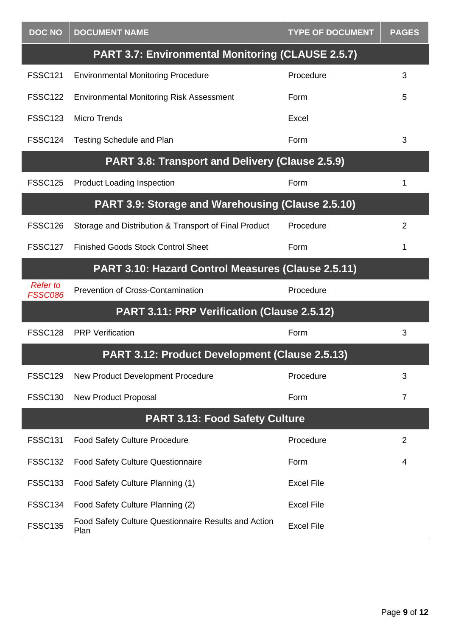| <b>DOC NO</b>                                      | <b>DOCUMENT NAME</b>                                         | <b>TYPE OF DOCUMENT</b> | <b>PAGES</b>   |
|----------------------------------------------------|--------------------------------------------------------------|-------------------------|----------------|
|                                                    | <b>PART 3.7: Environmental Monitoring (CLAUSE 2.5.7)</b>     |                         |                |
| <b>FSSC121</b>                                     | <b>Environmental Monitoring Procedure</b>                    | Procedure               | 3              |
| <b>FSSC122</b>                                     | <b>Environmental Monitoring Risk Assessment</b>              | Form                    | 5              |
| <b>FSSC123</b>                                     | <b>Micro Trends</b>                                          | Excel                   |                |
| <b>FSSC124</b>                                     | <b>Testing Schedule and Plan</b>                             | Form                    | 3              |
|                                                    | PART 3.8: Transport and Delivery (Clause 2.5.9)              |                         |                |
| <b>FSSC125</b>                                     | <b>Product Loading Inspection</b>                            | Form                    | 1              |
|                                                    | PART 3.9: Storage and Warehousing (Clause 2.5.10)            |                         |                |
| <b>FSSC126</b>                                     | Storage and Distribution & Transport of Final Product        | Procedure               | $\overline{2}$ |
| <b>FSSC127</b>                                     | <b>Finished Goods Stock Control Sheet</b>                    | Form                    | 1              |
| PART 3.10: Hazard Control Measures (Clause 2.5.11) |                                                              |                         |                |
| <b>Refer to</b><br><b>FSSC086</b>                  | <b>Prevention of Cross-Contamination</b>                     | Procedure               |                |
|                                                    | PART 3.11: PRP Verification (Clause 2.5.12)                  |                         |                |
| <b>FSSC128</b>                                     | <b>PRP</b> Verification                                      | Form                    | 3              |
|                                                    | PART 3.12: Product Development (Clause 2.5.13)               |                         |                |
| <b>FSSC129</b>                                     | New Product Development Procedure                            | Procedure               | 3              |
| <b>FSSC130</b>                                     | <b>New Product Proposal</b>                                  | Form                    | $\overline{7}$ |
|                                                    | <b>PART 3.13: Food Safety Culture</b>                        |                         |                |
| <b>FSSC131</b>                                     | <b>Food Safety Culture Procedure</b>                         | Procedure               | 2              |
| <b>FSSC132</b>                                     | <b>Food Safety Culture Questionnaire</b>                     | Form                    | 4              |
| <b>FSSC133</b>                                     | Food Safety Culture Planning (1)                             | <b>Excel File</b>       |                |
| <b>FSSC134</b>                                     | Food Safety Culture Planning (2)                             | <b>Excel File</b>       |                |
| <b>FSSC135</b>                                     | Food Safety Culture Questionnaire Results and Action<br>Plan | <b>Excel File</b>       |                |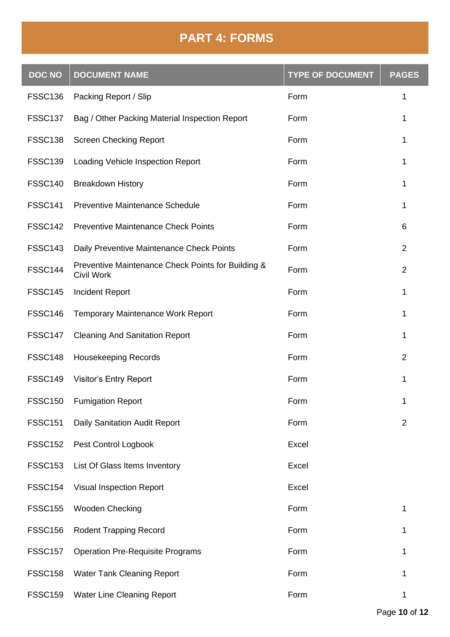### **PART 4: FORMS**

| <b>DOC NO</b>  | <b>DOCUMENT NAME</b>                                                    | <b>TYPE OF DOCUMENT</b> | <b>PAGES</b>   |
|----------------|-------------------------------------------------------------------------|-------------------------|----------------|
| <b>FSSC136</b> | Packing Report / Slip                                                   | Form                    | 1              |
| <b>FSSC137</b> | Bag / Other Packing Material Inspection Report                          | Form                    | 1              |
| <b>FSSC138</b> | <b>Screen Checking Report</b>                                           | Form                    | 1              |
| <b>FSSC139</b> | Loading Vehicle Inspection Report                                       | Form                    | 1              |
| <b>FSSC140</b> | <b>Breakdown History</b>                                                | Form                    | 1              |
| <b>FSSC141</b> | <b>Preventive Maintenance Schedule</b>                                  | Form                    | 1              |
| <b>FSSC142</b> | <b>Preventive Maintenance Check Points</b>                              | Form                    | 6              |
| <b>FSSC143</b> | Daily Preventive Maintenance Check Points                               | Form                    | $\overline{2}$ |
| <b>FSSC144</b> | Preventive Maintenance Check Points for Building &<br><b>Civil Work</b> | Form                    | $\overline{2}$ |
| <b>FSSC145</b> | <b>Incident Report</b>                                                  | Form                    | 1              |
| <b>FSSC146</b> | <b>Temporary Maintenance Work Report</b>                                | Form                    | 1              |
| <b>FSSC147</b> | <b>Cleaning And Sanitation Report</b>                                   | Form                    | 1              |
| <b>FSSC148</b> | <b>Housekeeping Records</b>                                             | Form                    | $\overline{2}$ |
| <b>FSSC149</b> | <b>Visitor's Entry Report</b>                                           | Form                    | 1              |
| <b>FSSC150</b> | <b>Fumigation Report</b>                                                | Form                    | 1              |
| <b>FSSC151</b> | Daily Sanitation Audit Report                                           | Form                    | $\overline{2}$ |
| <b>FSSC152</b> | Pest Control Logbook                                                    | Excel                   |                |
| <b>FSSC153</b> | List Of Glass Items Inventory                                           | Excel                   |                |
| <b>FSSC154</b> | <b>Visual Inspection Report</b>                                         | Excel                   |                |
| <b>FSSC155</b> | Wooden Checking                                                         | Form                    | 1              |
| <b>FSSC156</b> | <b>Rodent Trapping Record</b>                                           | Form                    | 1              |
| <b>FSSC157</b> | <b>Operation Pre-Requisite Programs</b>                                 | Form                    | 1              |
| <b>FSSC158</b> | <b>Water Tank Cleaning Report</b>                                       | Form                    | 1              |
| <b>FSSC159</b> | Water Line Cleaning Report                                              | Form                    | 1              |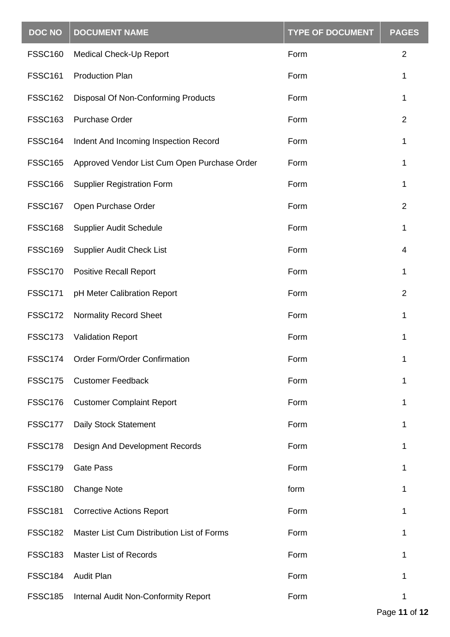| <b>DOC NO</b>  | <b>DOCUMENT NAME</b>                         | <b>TYPE OF DOCUMENT</b> | <b>PAGES</b>   |
|----------------|----------------------------------------------|-------------------------|----------------|
| <b>FSSC160</b> | Medical Check-Up Report                      | Form                    | $\overline{2}$ |
| <b>FSSC161</b> | <b>Production Plan</b>                       | Form                    | 1              |
| <b>FSSC162</b> | Disposal Of Non-Conforming Products          | Form                    | 1              |
| <b>FSSC163</b> | <b>Purchase Order</b>                        | Form                    | $\overline{2}$ |
| <b>FSSC164</b> | Indent And Incoming Inspection Record        | Form                    | 1              |
| <b>FSSC165</b> | Approved Vendor List Cum Open Purchase Order | Form                    | 1              |
| <b>FSSC166</b> | <b>Supplier Registration Form</b>            | Form                    | 1              |
| <b>FSSC167</b> | Open Purchase Order                          | Form                    | $\overline{2}$ |
| <b>FSSC168</b> | <b>Supplier Audit Schedule</b>               | Form                    | 1              |
| <b>FSSC169</b> | <b>Supplier Audit Check List</b>             | Form                    | 4              |
| <b>FSSC170</b> | <b>Positive Recall Report</b>                | Form                    | 1              |
| <b>FSSC171</b> | pH Meter Calibration Report                  | Form                    | $\overline{2}$ |
| <b>FSSC172</b> | <b>Normality Record Sheet</b>                | Form                    | 1              |
| <b>FSSC173</b> | <b>Validation Report</b>                     | Form                    | 1              |
| <b>FSSC174</b> | Order Form/Order Confirmation                | Form                    | 1              |
| <b>FSSC175</b> | <b>Customer Feedback</b>                     | Form                    | 1              |
| <b>FSSC176</b> | <b>Customer Complaint Report</b>             | Form                    | 1              |
| FSSC177        | Daily Stock Statement                        | Form                    | 1              |
| <b>FSSC178</b> | <b>Design And Development Records</b>        | Form                    | 1              |
| <b>FSSC179</b> | <b>Gate Pass</b>                             | Form                    | 1              |
| <b>FSSC180</b> | <b>Change Note</b>                           | form                    | 1              |
| <b>FSSC181</b> | <b>Corrective Actions Report</b>             | Form                    |                |
| <b>FSSC182</b> | Master List Cum Distribution List of Forms   | Form                    | 1              |
| <b>FSSC183</b> | <b>Master List of Records</b>                | Form                    | 1              |
| <b>FSSC184</b> | <b>Audit Plan</b>                            | Form                    | 1              |
| <b>FSSC185</b> | Internal Audit Non-Conformity Report         | Form                    | 1              |